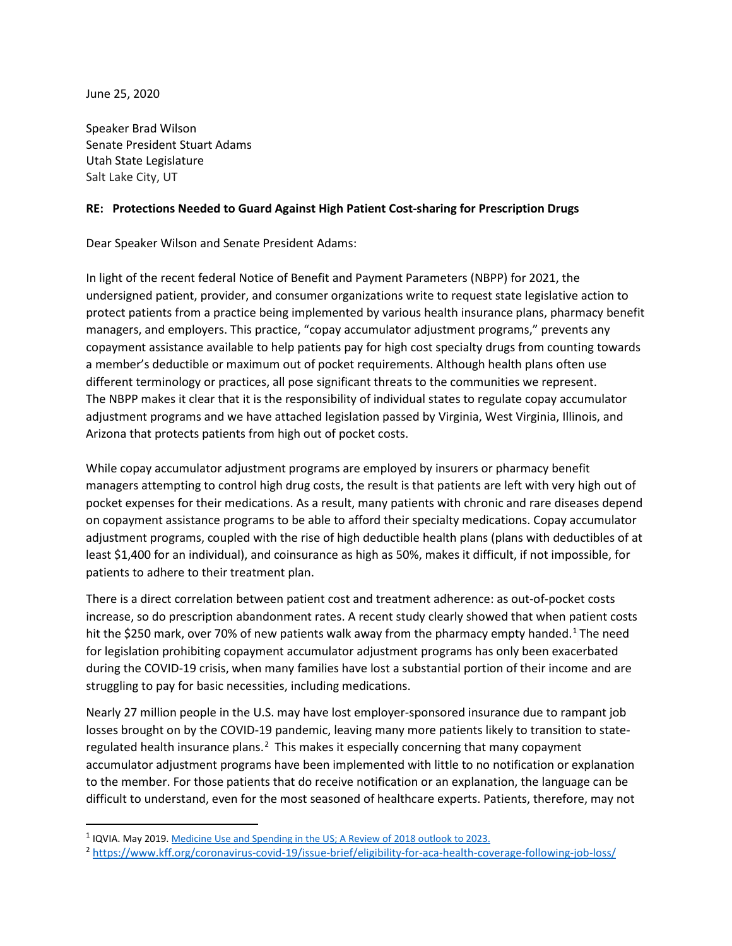June 25, 2020

Speaker Brad Wilson Senate President Stuart Adams Utah State Legislature Salt Lake City, UT

## **RE: Protections Needed to Guard Against High Patient Cost-sharing for Prescription Drugs**

Dear Speaker Wilson and Senate President Adams:

In light of the recent federal Notice of Benefit and Payment Parameters (NBPP) for 2021, the undersigned patient, provider, and consumer organizations write to request state legislative action to protect patients from a practice being implemented by various health insurance plans, pharmacy benefit managers, and employers. This practice, "copay accumulator adjustment programs," prevents any copayment assistance available to help patients pay for high cost specialty drugs from counting towards a member's deductible or maximum out of pocket requirements. Although health plans often use different terminology or practices, all pose significant threats to the communities we represent. The NBPP makes it clear that it is the responsibility of individual states to regulate copay accumulator adjustment programs and we have attached legislation passed by Virginia, West Virginia, Illinois, and Arizona that protects patients from high out of pocket costs.

While copay accumulator adjustment programs are employed by insurers or pharmacy benefit managers attempting to control high drug costs, the result is that patients are left with very high out of pocket expenses for their medications. As a result, many patients with chronic and rare diseases depend on copayment assistance programs to be able to afford their specialty medications. Copay accumulator adjustment programs, coupled with the rise of high deductible health plans (plans with deductibles of at least \$1,400 for an individual), and coinsurance as high as 50%, makes it difficult, if not impossible, for patients to adhere to their treatment plan.

There is a direct correlation between patient cost and treatment adherence: as out-of-pocket costs increase, so do prescription abandonment rates. A recent study clearly showed that when patient costs hit the \$250 mark, over 70% of new patients walk away from the pharmacy empty handed.<sup>[1](#page-0-0)</sup> The need for legislation prohibiting copayment accumulator adjustment programs has only been exacerbated during the COVID-19 crisis, when many families have lost a substantial portion of their income and are struggling to pay for basic necessities, including medications.

Nearly 27 million people in the U.S. may have lost employer-sponsored insurance due to rampant job losses brought on by the COVID-19 pandemic, leaving many more patients likely to transition to state-regulated health insurance plans.<sup>[2](#page-0-1)</sup> This makes it especially concerning that many copayment accumulator adjustment programs have been implemented with little to no notification or explanation to the member. For those patients that do receive notification or an explanation, the language can be difficult to understand, even for the most seasoned of healthcare experts. Patients, therefore, may not

<span id="page-0-0"></span> <sup>1</sup> IQVIA. May 2019[. Medicine Use and Spending in the US; A Review of 2018 outlook to 2023.](https://www.iqvia.com/form-pages/institute-gated?redirectUrl=%2f-%2fmedia%2fiqvia%2fpdfs%2finstitute-reports%2fmedicine-use-and-spending-in-the-us---a-review-of-2018-outlook-to-2023.pdf%3f_%3d1579103872016&Name=Medicine+Use+and+Spending+in+the+US+-+A+Review+of+2018+Outlook+to+2023)

<span id="page-0-1"></span><sup>2</sup> <https://www.kff.org/coronavirus-covid-19/issue-brief/eligibility-for-aca-health-coverage-following-job-loss/>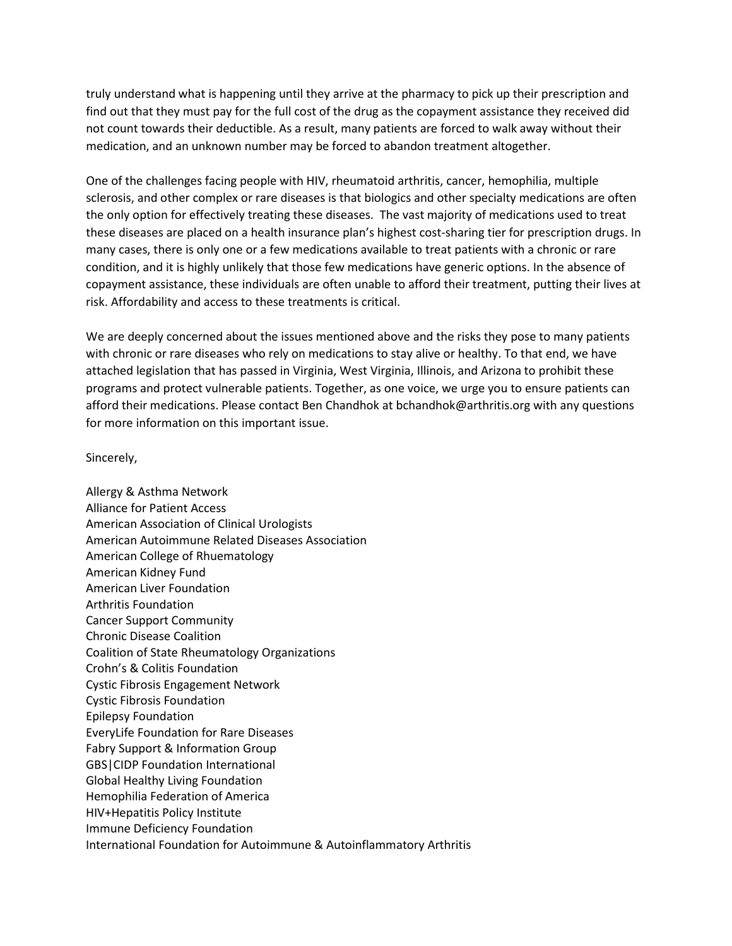truly understand what is happening until they arrive at the pharmacy to pick up their prescription and find out that they must pay for the full cost of the drug as the copayment assistance they received did not count towards their deductible. As a result, many patients are forced to walk away without their medication, and an unknown number may be forced to abandon treatment altogether.

One of the challenges facing people with HIV, rheumatoid arthritis, cancer, hemophilia, multiple sclerosis, and other complex or rare diseases is that biologics and other specialty medications are often the only option for effectively treating these diseases. The vast majority of medications used to treat these diseases are placed on a health insurance plan's highest cost-sharing tier for prescription drugs. In many cases, there is only one or a few medications available to treat patients with a chronic or rare condition, and it is highly unlikely that those few medications have generic options. In the absence of copayment assistance, these individuals are often unable to afford their treatment, putting their lives at risk. Affordability and access to these treatments is critical.

We are deeply concerned about the issues mentioned above and the risks they pose to many patients with chronic or rare diseases who rely on medications to stay alive or healthy. To that end, we have attached legislation that has passed in Virginia, West Virginia, Illinois, and Arizona to prohibit these programs and protect vulnerable patients. Together, as one voice, we urge you to ensure patients can afford their medications. Please contact Ben Chandhok at bchandhok@arthritis.org with any questions for more information on this important issue.

## Sincerely,

Allergy & Asthma Network Alliance for Patient Access American Association of Clinical Urologists American Autoimmune Related Diseases Association American College of Rhuematology American Kidney Fund American Liver Foundation Arthritis Foundation Cancer Support Community Chronic Disease Coalition Coalition of State Rheumatology Organizations Crohn's & Colitis Foundation Cystic Fibrosis Engagement Network Cystic Fibrosis Foundation Epilepsy Foundation EveryLife Foundation for Rare Diseases Fabry Support & Information Group GBS|CIDP Foundation International Global Healthy Living Foundation Hemophilia Federation of America HIV+Hepatitis Policy Institute Immune Deficiency Foundation International Foundation for Autoimmune & Autoinflammatory Arthritis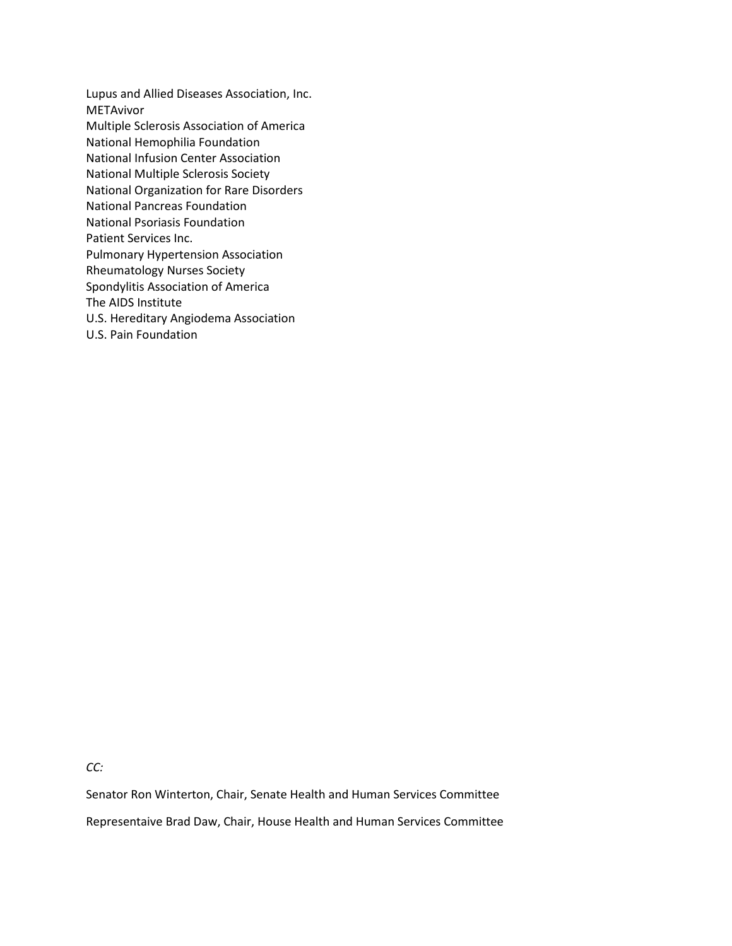Lupus and Allied Diseases Association, Inc. METAvivor Multiple Sclerosis Association of America National Hemophilia Foundation National Infusion Center Association National Multiple Sclerosis Society National Organization for Rare Disorders National Pancreas Foundation National Psoriasis Foundation Patient Services Inc. Pulmonary Hypertension Association Rheumatology Nurses Society Spondylitis Association of America The AIDS Institute U.S. Hereditary Angiodema Association U.S. Pain Foundation

*CC:*

Senator Ron Winterton, Chair, Senate Health and Human Services Committee Representaive Brad Daw, Chair, House Health and Human Services Committee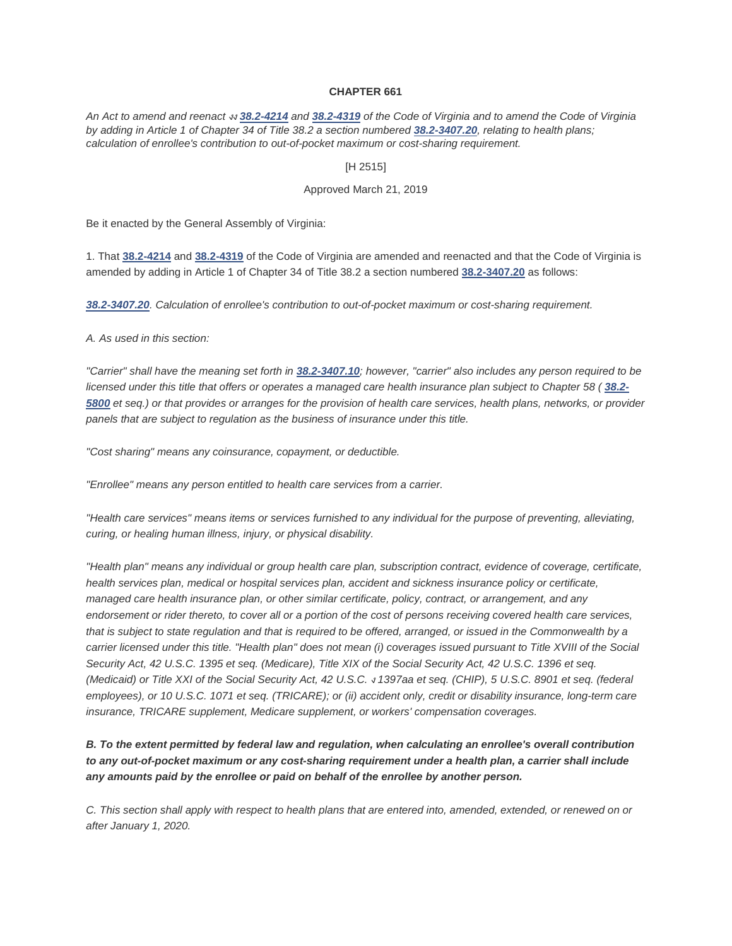### **CHAPTER 661**

*An Act to amend and reenact* งง *[38.2-4214](http://law.lis.virginia.gov/vacode/38.2-4214) and [38.2-4319](http://law.lis.virginia.gov/vacode/38.2-4319) of the Code of Virginia and to amend the Code of Virginia by adding in Article 1 of Chapter 34 of Title 38.2 a section numbered [38.2-3407.20](http://law.lis.virginia.gov/vacode/38.2-3407.20), relating to health plans; calculation of enrollee's contribution to out-of-pocket maximum or cost-sharing requirement.*

#### [H 2515]

## Approved March 21, 2019

Be it enacted by the General Assembly of Virginia:

1. That **[38.2-4214](http://law.lis.virginia.gov/vacode/38.2-4214)** and **[38.2-4319](http://law.lis.virginia.gov/vacode/38.2-4319)** of the Code of Virginia are amended and reenacted and that the Code of Virginia is amended by adding in Article 1 of Chapter 34 of Title 38.2 a section numbered **[38.2-3407.20](http://law.lis.virginia.gov/vacode/38.2-3407.20)** as follows:

*[38.2-3407.20](http://law.lis.virginia.gov/vacode/38.2-3407.20). Calculation of enrollee's contribution to out-of-pocket maximum or cost-sharing requirement.*

*A. As used in this section:*

*"Carrier" shall have the meaning set forth in [38.2-3407.10](http://law.lis.virginia.gov/vacode/38.2-3407.10); however, "carrier" also includes any person required to be licensed under this title that offers or operates a managed care health insurance plan subject to Chapter 58 ( [38.2-](http://law.lis.virginia.gov/vacode/38.2-5800) [5800](http://law.lis.virginia.gov/vacode/38.2-5800) et seq.) or that provides or arranges for the provision of health care services, health plans, networks, or provider panels that are subject to regulation as the business of insurance under this title.*

*"Cost sharing" means any coinsurance, copayment, or deductible.*

*"Enrollee" means any person entitled to health care services from a carrier.*

*"Health care services" means items or services furnished to any individual for the purpose of preventing, alleviating, curing, or healing human illness, injury, or physical disability.*

*"Health plan" means any individual or group health care plan, subscription contract, evidence of coverage, certificate, health services plan, medical or hospital services plan, accident and sickness insurance policy or certificate, managed care health insurance plan, or other similar certificate, policy, contract, or arrangement, and any endorsement or rider thereto, to cover all or a portion of the cost of persons receiving covered health care services, that is subject to state regulation and that is required to be offered, arranged, or issued in the Commonwealth by a carrier licensed under this title. "Health plan" does not mean (i) coverages issued pursuant to Title XVIII of the Social Security Act, 42 U.S.C. 1395 et seq. (Medicare), Title XIX of the Social Security Act, 42 U.S.C. 1396 et seq. (Medicaid) or Title XXI of the Social Security Act, 42 U.S.C.* <sup>ง</sup> *1397aa et seq. (CHIP), 5 U.S.C. 8901 et seq. (federal employees), or 10 U.S.C. 1071 et seq. (TRICARE); or (ii) accident only, credit or disability insurance, long-term care insurance, TRICARE supplement, Medicare supplement, or workers' compensation coverages.*

# *B. To the extent permitted by federal law and regulation, when calculating an enrollee's overall contribution to any out-of-pocket maximum or any cost-sharing requirement under a health plan, a carrier shall include any amounts paid by the enrollee or paid on behalf of the enrollee by another person.*

*C. This section shall apply with respect to health plans that are entered into, amended, extended, or renewed on or after January 1, 2020.*